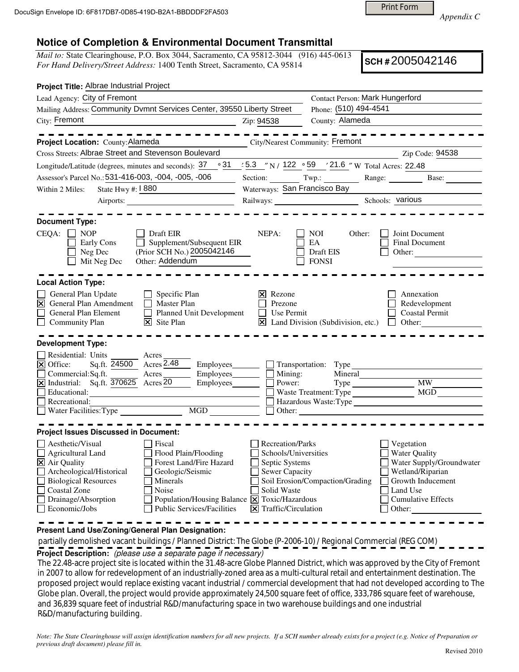Print Form

*Appendix C* 

## **Notice of Completion & Environmental Document Transmittal**

*Mail to:* State Clearinghouse, P.O. Box 3044, Sacramento, CA 95812-3044 (916) 445-0613 *For Hand Delivery/Street Address:* 1400 Tenth Street, Sacramento, CA 95814

**SCH #** 2005042146

| Project Title: Albrae Industrial Project                                                                                                                                                                                                                                                                                                                                                                                                 |                                                                                                                            |                                                                                                                                                                                               |  |
|------------------------------------------------------------------------------------------------------------------------------------------------------------------------------------------------------------------------------------------------------------------------------------------------------------------------------------------------------------------------------------------------------------------------------------------|----------------------------------------------------------------------------------------------------------------------------|-----------------------------------------------------------------------------------------------------------------------------------------------------------------------------------------------|--|
| Lead Agency: City of Fremont                                                                                                                                                                                                                                                                                                                                                                                                             |                                                                                                                            | Contact Person: Mark Hungerford                                                                                                                                                               |  |
| Mailing Address: Community Dvmnt Services Center, 39550 Liberty Street                                                                                                                                                                                                                                                                                                                                                                   |                                                                                                                            | Phone: (510) 494-4541                                                                                                                                                                         |  |
| City: Fremont                                                                                                                                                                                                                                                                                                                                                                                                                            | Zip: 94538                                                                                                                 | County: Alameda                                                                                                                                                                               |  |
| Project Location: County: Alameda<br>Cross Streets: Albrae Street and Stevenson Boulevard                                                                                                                                                                                                                                                                                                                                                | <b>City/Nearest Community: Fremont</b>                                                                                     | Zip Code: 94538                                                                                                                                                                               |  |
| ∘31<br>Longitude/Latitude (degrees, minutes and seconds): 37                                                                                                                                                                                                                                                                                                                                                                             |                                                                                                                            | $\frac{1}{2}$ 5.3 "N / 122 $\degree$ 59 $\degree$ 21.6 "W Total Acres: 22.48                                                                                                                  |  |
| Assessor's Parcel No.: 531-416-003, -004, -005, -006                                                                                                                                                                                                                                                                                                                                                                                     |                                                                                                                            | Section: Twp.: Range: Base:                                                                                                                                                                   |  |
| State Hwy #: 1880<br>Within 2 Miles:                                                                                                                                                                                                                                                                                                                                                                                                     | Waterways: San Francisco Bay                                                                                               |                                                                                                                                                                                               |  |
|                                                                                                                                                                                                                                                                                                                                                                                                                                          |                                                                                                                            | Railways: Schools: various                                                                                                                                                                    |  |
| <b>Document Type:</b><br>$CEQA: \Box NP$<br>Draft EIR<br>Supplement/Subsequent EIR<br>Early Cons<br>(Prior SCH No.) 2005042146<br>Neg Dec<br>Other: Addendum<br>Mit Neg Dec                                                                                                                                                                                                                                                              | NEPA:                                                                                                                      | NOI.<br>Other:<br>Joint Document<br>EA<br><b>Final Document</b><br>Draft EIS<br>Other:<br><b>FONSI</b>                                                                                        |  |
| <b>Local Action Type:</b>                                                                                                                                                                                                                                                                                                                                                                                                                |                                                                                                                            |                                                                                                                                                                                               |  |
| General Plan Update<br>$\Box$ Specific Plan<br>General Plan Amendment<br>$\Box$ Master Plan<br>$\overline{\mathsf{x}}$<br>Planned Unit Development<br>General Plan Element<br>$\times$ Site Plan<br>$\perp$<br><b>Community Plan</b>                                                                                                                                                                                                     | $\vert \mathsf{x} \vert$ Rezone<br>Prezone<br>$\Box$ Use Permit                                                            | Annexation<br>Redevelopment<br><b>Coastal Permit</b><br>$\boxtimes$ Land Division (Subdivision, etc.) $\Box$ Other:                                                                           |  |
| <b>Development Type:</b><br>Residential: Units<br>Acres<br>Sq.ft. 24500 Acres 2.48<br>$\triangleright$ Office:<br>Commercial:Sq.ft.<br>Acres<br>$\underline{\square}$ Commercial:Sq.ft.<br><u>[X</u> ] Industrial: Sq.ft. $\overline{370625}$ Acres 20<br>Employees________<br>Educational:<br><u> 1989 - Johann Stoff, amerikansk politiker (d. 1989)</u><br>Recreational:<br>MGD                                                       | Mining:<br>Power:                                                                                                          | Transportation: Type<br>Mineral<br><b>MW</b><br>MGD<br>Waste Treatment: Type<br>Hazardous Waste:Type<br>$\Box$ Other:                                                                         |  |
| <b>Project Issues Discussed in Document:</b>                                                                                                                                                                                                                                                                                                                                                                                             |                                                                                                                            |                                                                                                                                                                                               |  |
| Aesthetic/Visual<br>Fiscal<br>Agricultural Land<br>Flood Plain/Flooding<br>Forest Land/Fire Hazard<br>$\Xi$ Air Quality<br>Archeological/Historical<br>Geologic/Seismic<br>$\Box$<br><b>Biological Resources</b><br>Minerals<br>Coastal Zone<br>$\mathbb{R}^n$<br><b>Noise</b><br>П<br>Drainage/Absorption<br>Population/Housing Balance $\boxed{\mathsf{x}}$ Toxic/Hazardous<br>П<br>Economic/Jobs<br><b>Public Services/Facilities</b> | Recreation/Parks<br>Schools/Universities<br>Septic Systems<br>Sewer Capacity<br>Solid Waste<br>$\vert$ Traffic/Circulation | Vegetation<br><b>Water Quality</b><br>Water Supply/Groundwater<br>Wetland/Riparian<br>Soil Erosion/Compaction/Grading<br>Growth Inducement<br>Land Use<br><b>Cumulative Effects</b><br>Other: |  |

**Present Land Use/Zoning/General Plan Designation:**

 partially demolished vacant buildings / Planned District: The Globe (P-2006-10) / Regional Commercial (REG COM) **Project Description:** (please use a separate page if necessary)

 The 22.48-acre project site is located within the 31.48-acre Globe Planned District, which was approved by the City of Fremont in 2007 to allow for redevelopment of an industrially-zoned area as a multi-cultural retail and entertainment destination. The proposed project would replace existing vacant industrial / commercial development that had not developed according to The Globe plan. Overall, the project would provide approximately 24,500 square feet of office, 333,786 square feet of warehouse, and 36,839 square feet of industrial R&D/manufacturing space in two warehouse buildings and one industrial R&D/manufacturing building.

*Note: The State Clearinghouse will assign identification numbers for all new projects. If a SCH number already exists for a project (e.g. Notice of Preparation or previous draft document) please fill in.*